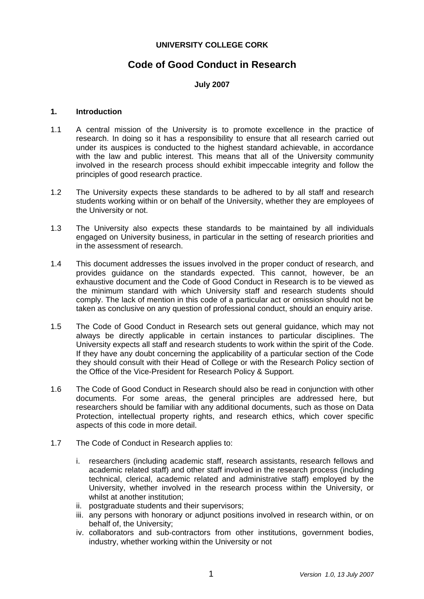# **UNIVERSITY COLLEGE CORK**

# **Code of Good Conduct in Research**

# **July 2007**

## **1. Introduction**

- 1.1 A central mission of the University is to promote excellence in the practice of research. In doing so it has a responsibility to ensure that all research carried out under its auspices is conducted to the highest standard achievable, in accordance with the law and public interest. This means that all of the University community involved in the research process should exhibit impeccable integrity and follow the principles of good research practice.
- 1.2 The University expects these standards to be adhered to by all staff and research students working within or on behalf of the University, whether they are employees of the University or not.
- 1.3 The University also expects these standards to be maintained by all individuals engaged on University business, in particular in the setting of research priorities and in the assessment of research.
- 1.4 This document addresses the issues involved in the proper conduct of research, and provides guidance on the standards expected. This cannot, however, be an exhaustive document and the Code of Good Conduct in Research is to be viewed as the minimum standard with which University staff and research students should comply. The lack of mention in this code of a particular act or omission should not be taken as conclusive on any question of professional conduct, should an enquiry arise.
- 1.5 The Code of Good Conduct in Research sets out general guidance, which may not always be directly applicable in certain instances to particular disciplines. The University expects all staff and research students to work within the spirit of the Code. If they have any doubt concerning the applicability of a particular section of the Code they should consult with their Head of College or with the Research Policy section of the Office of the Vice-President for Research Policy & Support.
- 1.6 The Code of Good Conduct in Research should also be read in conjunction with other documents. For some areas, the general principles are addressed here, but researchers should be familiar with any additional documents, such as those on Data Protection, intellectual property rights, and research ethics, which cover specific aspects of this code in more detail.
- 1.7 The Code of Conduct in Research applies to:
	- i. researchers (including academic staff, research assistants, research fellows and academic related staff) and other staff involved in the research process (including technical, clerical, academic related and administrative staff) employed by the University, whether involved in the research process within the University, or whilst at another institution;
	- ii. postgraduate students and their supervisors;
	- iii. any persons with honorary or adjunct positions involved in research within, or on behalf of, the University;
	- iv. collaborators and sub-contractors from other institutions, government bodies, industry, whether working within the University or not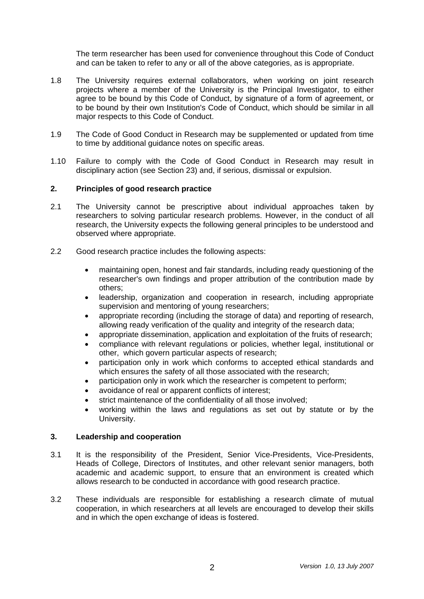The term researcher has been used for convenience throughout this Code of Conduct and can be taken to refer to any or all of the above categories, as is appropriate.

- 1.8 The University requires external collaborators, when working on joint research projects where a member of the University is the Principal Investigator, to either agree to be bound by this Code of Conduct, by signature of a form of agreement, or to be bound by their own Institution's Code of Conduct, which should be similar in all major respects to this Code of Conduct.
- 1.9 The Code of Good Conduct in Research may be supplemented or updated from time to time by additional guidance notes on specific areas.
- 1.10 Failure to comply with the Code of Good Conduct in Research may result in disciplinary action (see Section 23) and, if serious, dismissal or expulsion.

## **2. Principles of good research practice**

- 2.1 The University cannot be prescriptive about individual approaches taken by researchers to solving particular research problems. However, in the conduct of all research, the University expects the following general principles to be understood and observed where appropriate.
- 2.2 Good research practice includes the following aspects:
	- maintaining open, honest and fair standards, including ready questioning of the researcher's own findings and proper attribution of the contribution made by others;
	- leadership, organization and cooperation in research, including appropriate supervision and mentoring of young researchers;
	- appropriate recording (including the storage of data) and reporting of research, allowing ready verification of the quality and integrity of the research data;
	- appropriate dissemination, application and exploitation of the fruits of research;
	- compliance with relevant regulations or policies, whether legal, institutional or other, which govern particular aspects of research;
	- participation only in work which conforms to accepted ethical standards and which ensures the safety of all those associated with the research;
	- participation only in work which the researcher is competent to perform:
	- avoidance of real or apparent conflicts of interest;
	- strict maintenance of the confidentiality of all those involved;
	- working within the laws and regulations as set out by statute or by the University.

#### **3. Leadership and cooperation**

- 3.1 It is the responsibility of the President, Senior Vice-Presidents, Vice-Presidents, Heads of College, Directors of Institutes, and other relevant senior managers, both academic and academic support, to ensure that an environment is created which allows research to be conducted in accordance with good research practice.
- 3.2 These individuals are responsible for establishing a research climate of mutual cooperation, in which researchers at all levels are encouraged to develop their skills and in which the open exchange of ideas is fostered.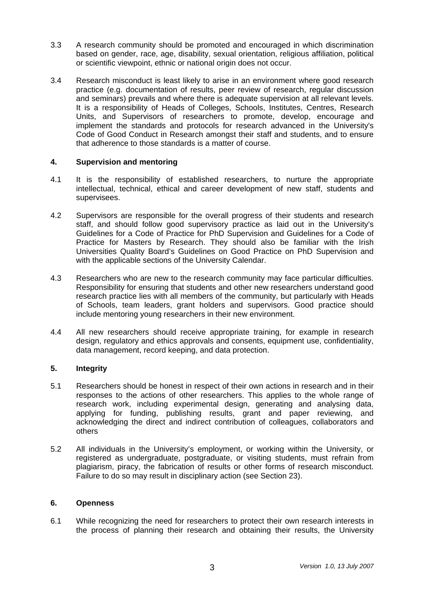- 3.3 A research community should be promoted and encouraged in which discrimination based on gender, race, age, disability, sexual orientation, religious affiliation, political or scientific viewpoint, ethnic or national origin does not occur.
- 3.4 Research misconduct is least likely to arise in an environment where good research practice (e.g. documentation of results, peer review of research, regular discussion and seminars) prevails and where there is adequate supervision at all relevant levels. It is a responsibility of Heads of Colleges, Schools, Institutes, Centres, Research Units, and Supervisors of researchers to promote, develop, encourage and implement the standards and protocols for research advanced in the University's Code of Good Conduct in Research amongst their staff and students, and to ensure that adherence to those standards is a matter of course.

# **4. Supervision and mentoring**

- 4.1 It is the responsibility of established researchers, to nurture the appropriate intellectual, technical, ethical and career development of new staff, students and supervisees.
- 4.2 Supervisors are responsible for the overall progress of their students and research staff, and should follow good supervisory practice as laid out in the University's Guidelines for a Code of Practice for PhD Supervision and Guidelines for a Code of Practice for Masters by Research. They should also be familiar with the Irish Universities Quality Board's Guidelines on Good Practice on PhD Supervision and with the applicable sections of the University Calendar.
- 4.3 Researchers who are new to the research community may face particular difficulties. Responsibility for ensuring that students and other new researchers understand good research practice lies with all members of the community, but particularly with Heads of Schools, team leaders, grant holders and supervisors. Good practice should include mentoring young researchers in their new environment.
- 4.4 All new researchers should receive appropriate training, for example in research design, regulatory and ethics approvals and consents, equipment use, confidentiality, data management, record keeping, and data protection.

# **5. Integrity**

- 5.1 Researchers should be honest in respect of their own actions in research and in their responses to the actions of other researchers. This applies to the whole range of research work, including experimental design, generating and analysing data, applying for funding, publishing results, grant and paper reviewing, and acknowledging the direct and indirect contribution of colleagues, collaborators and others
- 5.2 All individuals in the University's employment, or working within the University, or registered as undergraduate, postgraduate, or visiting students, must refrain from plagiarism, piracy, the fabrication of results or other forms of research misconduct. Failure to do so may result in disciplinary action (see Section 23).

# **6. Openness**

6.1 While recognizing the need for researchers to protect their own research interests in the process of planning their research and obtaining their results, the University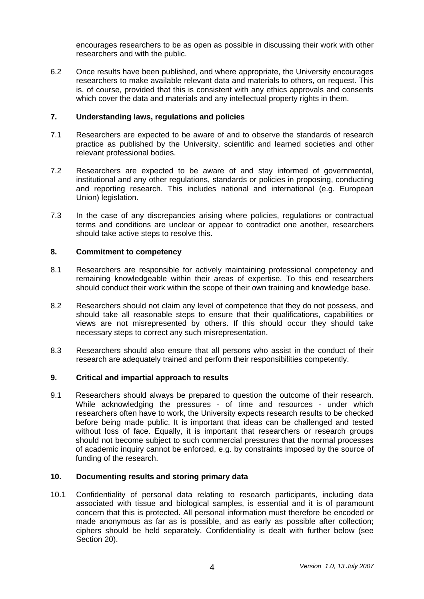encourages researchers to be as open as possible in discussing their work with other researchers and with the public.

6.2 Once results have been published, and where appropriate, the University encourages researchers to make available relevant data and materials to others, on request. This is, of course, provided that this is consistent with any ethics approvals and consents which cover the data and materials and any intellectual property rights in them.

## **7. Understanding laws, regulations and policies**

- 7.1 Researchers are expected to be aware of and to observe the standards of research practice as published by the University, scientific and learned societies and other relevant professional bodies.
- 7.2 Researchers are expected to be aware of and stay informed of governmental, institutional and any other regulations, standards or policies in proposing, conducting and reporting research. This includes national and international (e.g. European Union) legislation.
- 7.3 In the case of any discrepancies arising where policies, regulations or contractual terms and conditions are unclear or appear to contradict one another, researchers should take active steps to resolve this.

## **8. Commitment to competency**

- 8.1 Researchers are responsible for actively maintaining professional competency and remaining knowledgeable within their areas of expertise. To this end researchers should conduct their work within the scope of their own training and knowledge base.
- 8.2 Researchers should not claim any level of competence that they do not possess, and should take all reasonable steps to ensure that their qualifications, capabilities or views are not misrepresented by others. If this should occur they should take necessary steps to correct any such misrepresentation.
- 8.3 Researchers should also ensure that all persons who assist in the conduct of their research are adequately trained and perform their responsibilities competently.

# **9. Critical and impartial approach to results**

9.1 Researchers should always be prepared to question the outcome of their research. While acknowledging the pressures - of time and resources - under which researchers often have to work, the University expects research results to be checked before being made public. It is important that ideas can be challenged and tested without loss of face. Equally, it is important that researchers or research groups should not become subject to such commercial pressures that the normal processes of academic inquiry cannot be enforced, e.g. by constraints imposed by the source of funding of the research.

#### **10. Documenting results and storing primary data**

10.1 Confidentiality of personal data relating to research participants, including data associated with tissue and biological samples, is essential and it is of paramount concern that this is protected. All personal information must therefore be encoded or made anonymous as far as is possible, and as early as possible after collection; ciphers should be held separately. Confidentiality is dealt with further below (see Section 20).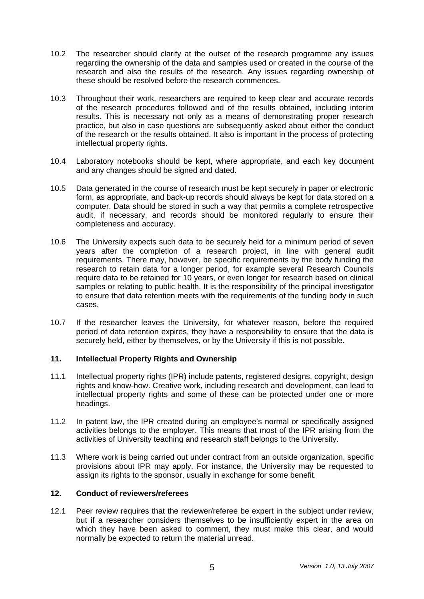- 10.2 The researcher should clarify at the outset of the research programme any issues regarding the ownership of the data and samples used or created in the course of the research and also the results of the research. Any issues regarding ownership of these should be resolved before the research commences.
- 10.3 Throughout their work, researchers are required to keep clear and accurate records of the research procedures followed and of the results obtained, including interim results. This is necessary not only as a means of demonstrating proper research practice, but also in case questions are subsequently asked about either the conduct of the research or the results obtained. It also is important in the process of protecting intellectual property rights.
- 10.4 Laboratory notebooks should be kept, where appropriate, and each key document and any changes should be signed and dated.
- 10.5 Data generated in the course of research must be kept securely in paper or electronic form, as appropriate, and back-up records should always be kept for data stored on a computer. Data should be stored in such a way that permits a complete retrospective audit, if necessary, and records should be monitored regularly to ensure their completeness and accuracy.
- 10.6 The University expects such data to be securely held for a minimum period of seven years after the completion of a research project, in line with general audit requirements. There may, however, be specific requirements by the body funding the research to retain data for a longer period, for example several Research Councils require data to be retained for 10 years, or even longer for research based on clinical samples or relating to public health. It is the responsibility of the principal investigator to ensure that data retention meets with the requirements of the funding body in such cases.
- 10.7 If the researcher leaves the University, for whatever reason, before the required period of data retention expires, they have a responsibility to ensure that the data is securely held, either by themselves, or by the University if this is not possible.

# **11. Intellectual Property Rights and Ownership**

- 11.1 Intellectual property rights (IPR) include patents, registered designs, copyright, design rights and know-how. Creative work, including research and development, can lead to intellectual property rights and some of these can be protected under one or more headings.
- 11.2 In patent law, the IPR created during an employee's normal or specifically assigned activities belongs to the employer. This means that most of the IPR arising from the activities of University teaching and research staff belongs to the University.
- 11.3 Where work is being carried out under contract from an outside organization, specific provisions about IPR may apply. For instance, the University may be requested to assign its rights to the sponsor, usually in exchange for some benefit.

#### **12. Conduct of reviewers/referees**

12.1 Peer review requires that the reviewer/referee be expert in the subject under review, but if a researcher considers themselves to be insufficiently expert in the area on which they have been asked to comment, they must make this clear, and would normally be expected to return the material unread.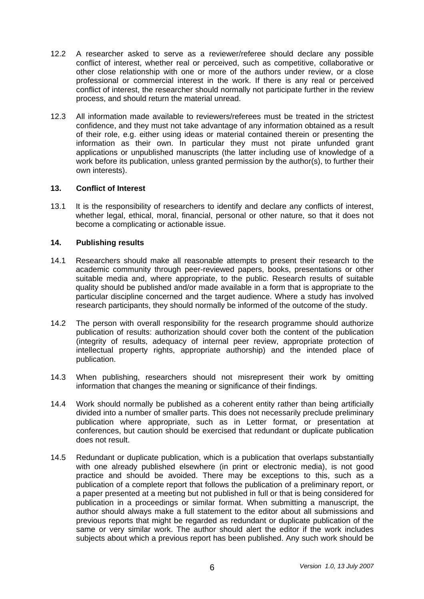- 12.2 A researcher asked to serve as a reviewer/referee should declare any possible conflict of interest, whether real or perceived, such as competitive, collaborative or other close relationship with one or more of the authors under review, or a close professional or commercial interest in the work. If there is any real or perceived conflict of interest, the researcher should normally not participate further in the review process, and should return the material unread.
- 12.3 All information made available to reviewers/referees must be treated in the strictest confidence, and they must not take advantage of any information obtained as a result of their role, e.g. either using ideas or material contained therein or presenting the information as their own. In particular they must not pirate unfunded grant applications or unpublished manuscripts (the latter including use of knowledge of a work before its publication, unless granted permission by the author(s), to further their own interests).

# **13. Conflict of Interest**

13.1 It is the responsibility of researchers to identify and declare any conflicts of interest, whether legal, ethical, moral, financial, personal or other nature, so that it does not become a complicating or actionable issue.

## **14. Publishing results**

- 14.1 Researchers should make all reasonable attempts to present their research to the academic community through peer-reviewed papers, books, presentations or other suitable media and, where appropriate, to the public. Research results of suitable quality should be published and/or made available in a form that is appropriate to the particular discipline concerned and the target audience. Where a study has involved research participants, they should normally be informed of the outcome of the study.
- 14.2 The person with overall responsibility for the research programme should authorize publication of results: authorization should cover both the content of the publication (integrity of results, adequacy of internal peer review, appropriate protection of intellectual property rights, appropriate authorship) and the intended place of publication.
- 14.3 When publishing, researchers should not misrepresent their work by omitting information that changes the meaning or significance of their findings.
- 14.4 Work should normally be published as a coherent entity rather than being artificially divided into a number of smaller parts. This does not necessarily preclude preliminary publication where appropriate, such as in Letter format, or presentation at conferences, but caution should be exercised that redundant or duplicate publication does not result.
- 14.5 Redundant or duplicate publication, which is a publication that overlaps substantially with one already published elsewhere (in print or electronic media), is not good practice and should be avoided. There may be exceptions to this, such as a publication of a complete report that follows the publication of a preliminary report, or a paper presented at a meeting but not published in full or that is being considered for publication in a proceedings or similar format. When submitting a manuscript, the author should always make a full statement to the editor about all submissions and previous reports that might be regarded as redundant or duplicate publication of the same or very similar work. The author should alert the editor if the work includes subjects about which a previous report has been published. Any such work should be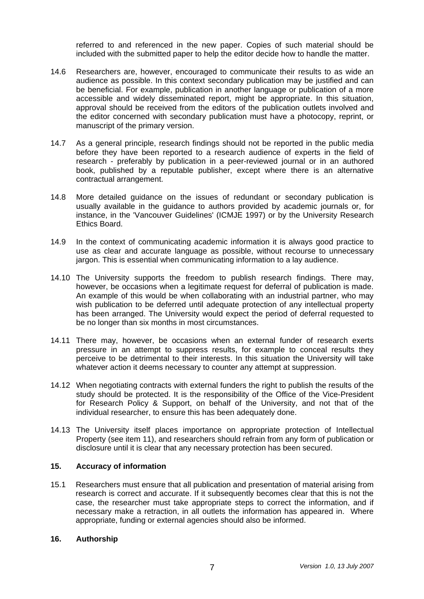referred to and referenced in the new paper. Copies of such material should be included with the submitted paper to help the editor decide how to handle the matter.

- 14.6 Researchers are, however, encouraged to communicate their results to as wide an audience as possible. In this context secondary publication may be justified and can be beneficial. For example, publication in another language or publication of a more accessible and widely disseminated report, might be appropriate. In this situation, approval should be received from the editors of the publication outlets involved and the editor concerned with secondary publication must have a photocopy, reprint, or manuscript of the primary version.
- 14.7 As a general principle, research findings should not be reported in the public media before they have been reported to a research audience of experts in the field of research - preferably by publication in a peer-reviewed journal or in an authored book, published by a reputable publisher, except where there is an alternative contractual arrangement.
- 14.8 More detailed guidance on the issues of redundant or secondary publication is usually available in the guidance to authors provided by academic journals or, for instance, in the 'Vancouver Guidelines' (ICMJE 1997) or by the University Research Ethics Board.
- 14.9 In the context of communicating academic information it is always good practice to use as clear and accurate language as possible, without recourse to unnecessary jargon. This is essential when communicating information to a lay audience.
- 14.10 The University supports the freedom to publish research findings. There may, however, be occasions when a legitimate request for deferral of publication is made. An example of this would be when collaborating with an industrial partner, who may wish publication to be deferred until adequate protection of any intellectual property has been arranged. The University would expect the period of deferral requested to be no longer than six months in most circumstances.
- 14.11 There may, however, be occasions when an external funder of research exerts pressure in an attempt to suppress results, for example to conceal results they perceive to be detrimental to their interests. In this situation the University will take whatever action it deems necessary to counter any attempt at suppression.
- 14.12 When negotiating contracts with external funders the right to publish the results of the study should be protected. It is the responsibility of the Office of the Vice-President for Research Policy & Support, on behalf of the University, and not that of the individual researcher, to ensure this has been adequately done.
- 14.13 The University itself places importance on appropriate protection of Intellectual Property (see item 11), and researchers should refrain from any form of publication or disclosure until it is clear that any necessary protection has been secured.

# **15. Accuracy of information**

15.1 Researchers must ensure that all publication and presentation of material arising from research is correct and accurate. If it subsequently becomes clear that this is not the case, the researcher must take appropriate steps to correct the information, and if necessary make a retraction, in all outlets the information has appeared in. Where appropriate, funding or external agencies should also be informed.

#### **16. Authorship**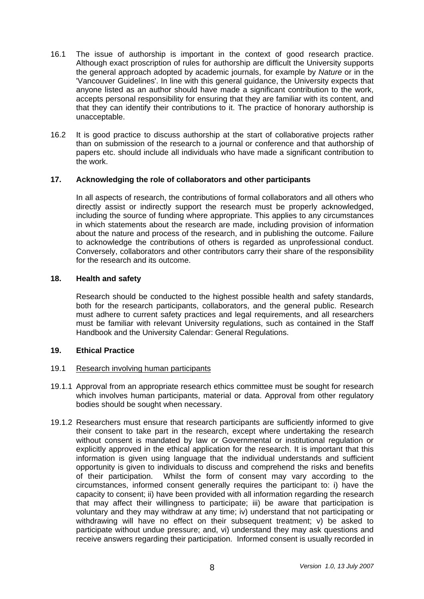- 16.1 The issue of authorship is important in the context of good research practice. Although exact proscription of rules for authorship are difficult the University supports the general approach adopted by academic journals, for example by *Nature* or in the 'Vancouver Guidelines'. In line with this general guidance, the University expects that anyone listed as an author should have made a significant contribution to the work, accepts personal responsibility for ensuring that they are familiar with its content, and that they can identify their contributions to it. The practice of honorary authorship is unacceptable.
- 16.2 It is good practice to discuss authorship at the start of collaborative projects rather than on submission of the research to a journal or conference and that authorship of papers etc. should include all individuals who have made a significant contribution to the work.

# **17. Acknowledging the role of collaborators and other participants**

In all aspects of research, the contributions of formal collaborators and all others who directly assist or indirectly support the research must be properly acknowledged, including the source of funding where appropriate. This applies to any circumstances in which statements about the research are made, including provision of information about the nature and process of the research, and in publishing the outcome. Failure to acknowledge the contributions of others is regarded as unprofessional conduct. Conversely, collaborators and other contributors carry their share of the responsibility for the research and its outcome.

## **18. Health and safety**

Research should be conducted to the highest possible health and safety standards, both for the research participants, collaborators, and the general public. Research must adhere to current safety practices and legal requirements, and all researchers must be familiar with relevant University regulations, such as contained in the Staff Handbook and the University Calendar: General Regulations.

#### **19. Ethical Practice**

#### 19.1 Research involving human participants

- 19.1.1 Approval from an appropriate research ethics committee must be sought for research which involves human participants, material or data. Approval from other regulatory bodies should be sought when necessary.
- 19.1.2 Researchers must ensure that research participants are sufficiently informed to give their consent to take part in the research, except where undertaking the research without consent is mandated by law or Governmental or institutional regulation or explicitly approved in the ethical application for the research. It is important that this information is given using language that the individual understands and sufficient opportunity is given to individuals to discuss and comprehend the risks and benefits of their participation. Whilst the form of consent may vary according to the circumstances, informed consent generally requires the participant to: i) have the capacity to consent; ii) have been provided with all information regarding the research that may affect their willingness to participate; iii) be aware that participation is voluntary and they may withdraw at any time; iv) understand that not participating or withdrawing will have no effect on their subsequent treatment; v) be asked to participate without undue pressure; and, vi) understand they may ask questions and receive answers regarding their participation. Informed consent is usually recorded in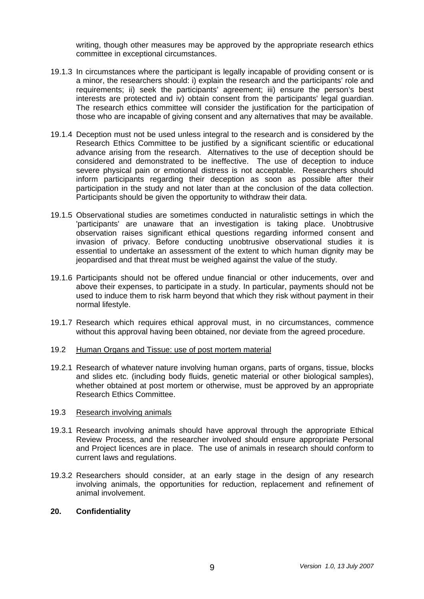writing, though other measures may be approved by the appropriate research ethics committee in exceptional circumstances.

- 19.1.3 In circumstances where the participant is legally incapable of providing consent or is a minor, the researchers should: i) explain the research and the participants' role and requirements; ii) seek the participants' agreement; iii) ensure the person's best interests are protected and iv) obtain consent from the participants' legal guardian. The research ethics committee will consider the justification for the participation of those who are incapable of giving consent and any alternatives that may be available.
- 19.1.4 Deception must not be used unless integral to the research and is considered by the Research Ethics Committee to be justified by a significant scientific or educational advance arising from the research. Alternatives to the use of deception should be considered and demonstrated to be ineffective. The use of deception to induce severe physical pain or emotional distress is not acceptable. Researchers should inform participants regarding their deception as soon as possible after their participation in the study and not later than at the conclusion of the data collection. Participants should be given the opportunity to withdraw their data.
- 19.1.5 Observational studies are sometimes conducted in naturalistic settings in which the 'participants' are unaware that an investigation is taking place. Unobtrusive observation raises significant ethical questions regarding informed consent and invasion of privacy. Before conducting unobtrusive observational studies it is essential to undertake an assessment of the extent to which human dignity may be jeopardised and that threat must be weighed against the value of the study.
- 19.1.6 Participants should not be offered undue financial or other inducements, over and above their expenses, to participate in a study. In particular, payments should not be used to induce them to risk harm beyond that which they risk without payment in their normal lifestyle.
- 19.1.7 Research which requires ethical approval must, in no circumstances, commence without this approval having been obtained, nor deviate from the agreed procedure.
- 19.2 Human Organs and Tissue: use of post mortem material
- 19.2.1 Research of whatever nature involving human organs, parts of organs, tissue, blocks and slides etc. (including body fluids, genetic material or other biological samples), whether obtained at post mortem or otherwise, must be approved by an appropriate Research Ethics Committee.
- 19.3 Research involving animals
- 19.3.1 Research involving animals should have approval through the appropriate Ethical Review Process, and the researcher involved should ensure appropriate Personal and Project licences are in place. The use of animals in research should conform to current laws and regulations.
- 19.3.2 Researchers should consider, at an early stage in the design of any research involving animals, the opportunities for reduction, replacement and refinement of animal involvement.

# **20. Confidentiality**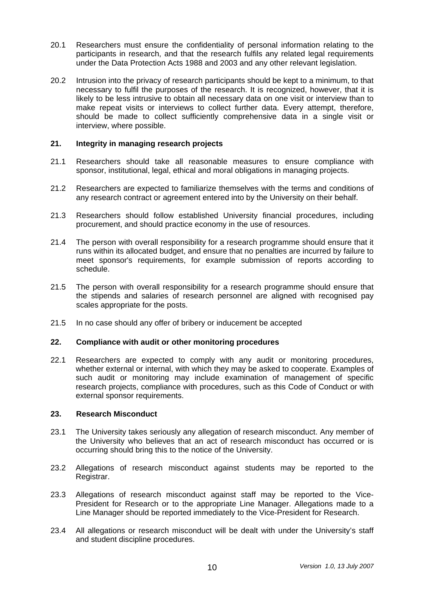- 20.1 Researchers must ensure the confidentiality of personal information relating to the participants in research, and that the research fulfils any related legal requirements under the Data Protection Acts 1988 and 2003 and any other relevant legislation.
- 20.2 Intrusion into the privacy of research participants should be kept to a minimum, to that necessary to fulfil the purposes of the research. It is recognized, however, that it is likely to be less intrusive to obtain all necessary data on one visit or interview than to make repeat visits or interviews to collect further data. Every attempt, therefore, should be made to collect sufficiently comprehensive data in a single visit or interview, where possible.

## **21. Integrity in managing research projects**

- 21.1 Researchers should take all reasonable measures to ensure compliance with sponsor, institutional, legal, ethical and moral obligations in managing projects.
- 21.2 Researchers are expected to familiarize themselves with the terms and conditions of any research contract or agreement entered into by the University on their behalf.
- 21.3 Researchers should follow established University financial procedures, including procurement, and should practice economy in the use of resources.
- 21.4 The person with overall responsibility for a research programme should ensure that it runs within its allocated budget, and ensure that no penalties are incurred by failure to meet sponsor's requirements, for example submission of reports according to schedule.
- 21.5 The person with overall responsibility for a research programme should ensure that the stipends and salaries of research personnel are aligned with recognised pay scales appropriate for the posts.
- 21.5 In no case should any offer of bribery or inducement be accepted

## **22. Compliance with audit or other monitoring procedures**

22.1 Researchers are expected to comply with any audit or monitoring procedures, whether external or internal, with which they may be asked to cooperate. Examples of such audit or monitoring may include examination of management of specific research projects, compliance with procedures, such as this Code of Conduct or with external sponsor requirements.

#### **23. Research Misconduct**

- 23.1 The University takes seriously any allegation of research misconduct. Any member of the University who believes that an act of research misconduct has occurred or is occurring should bring this to the notice of the University.
- 23.2 Allegations of research misconduct against students may be reported to the Registrar.
- 23.3 Allegations of research misconduct against staff may be reported to the Vice-President for Research or to the appropriate Line Manager. Allegations made to a Line Manager should be reported immediately to the Vice-President for Research.
- 23.4 All allegations or research misconduct will be dealt with under the University's staff and student discipline procedures.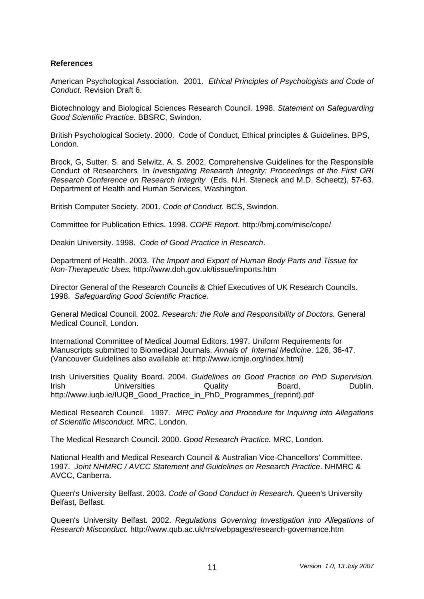#### **References**

American Psychological Association. 2001. *Ethical Principles of Psychologists and Code of Conduct.* Revision Draft 6.

Biotechnology and Biological Sciences Research Council. 1998. *Statement on Safeguarding Good Scientific Practice.* BBSRC, Swindon.

British Psychological Society. 2000. Code of Conduct, Ethical principles & Guidelines. BPS, London.

Brock, G, Sutter, S. and Selwitz, A. S. 2002. Comprehensive Guidelines for the Responsible Conduct of Researchers*.* In *Investigating Research Integrity: Proceedings of the First ORI Research Conference on Research Integrity* (Eds. N.H. Steneck and M.D. Scheetz), 57-63. Department of Health and Human Services, Washington.

British Computer Society. 2001. *Code of Conduct.* BCS, Swindon.

Committee for Publication Ethics. 1998. *COPE Report.* http://bmj.com/misc/cope/

Deakin University. 1998. *Code of Good Practice in Research*.

Department of Health. 2003. *The Import and Export of Human Body Parts and Tissue for Non-Therapeutic Uses.* http://www.doh.gov.uk/tissue/imports.htm

Director General of the Research Councils & Chief Executives of UK Research Councils. 1998. *Safeguarding Good Scientific Practice*.

General Medical Council. 2002. *Research: the Role and Responsibility of Doctors.* General Medical Council, London.

International Committee of Medical Journal Editors. 1997. Uniform Requirements for Manuscripts submitted to Biomedical Journals. *Annals of Internal Medicine*. 126, 36-47. (Vancouver Guidelines also available at: http://www.icmje.org/index.html)

Irish Universities Quality Board. 2004. *Guidelines on Good Practice on PhD Supervision.*  **Irish Constructs** Universities **Construction Constructs** Cuality **Board**, **Construction Cuality** Dublin. http://www.jugb.je/IUQB\_Good\_Practice\_in\_PhD\_Programmes\_(reprint).pdf

Medical Research Council. 1997. *MRC Policy and Procedure for Inquiring into Allegations of Scientific Misconduct*. MRC, London.

The Medical Research Council. 2000. *Good Research Practice.* MRC, London.

National Health and Medical Research Council & Australian Vice-Chancellors' Committee. 1997. *Joint NHMRC / AVCC Statement and Guidelines on Research Practice*. NHMRC & AVCC, Canberra.

Queen's University Belfast. 2003. *Code of Good Conduct in Research.* Queen's University Belfast, Belfast.

Queen's University Belfast. 2002. *Regulations Governing Investigation into Allegations of Research Misconduct.* http://www.qub.ac.uk/rrs/webpages/research-governance.htm